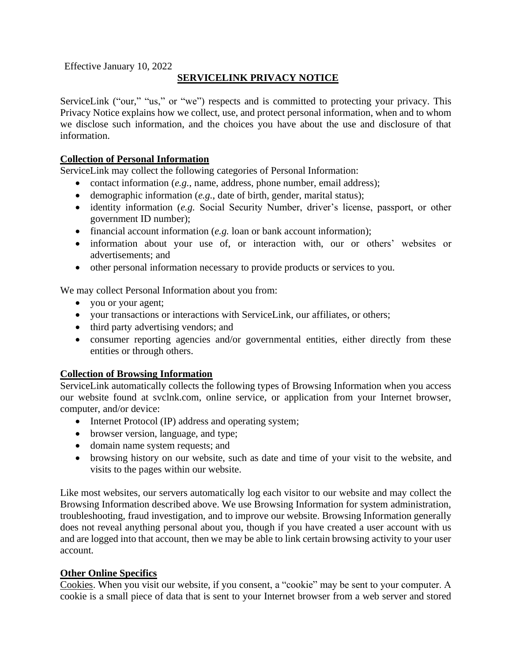Effective January 10, 2022

# **SERVICELINK PRIVACY NOTICE**

ServiceLink ("our," "us," or "we") respects and is committed to protecting your privacy. This Privacy Notice explains how we collect, use, and protect personal information, when and to whom we disclose such information, and the choices you have about the use and disclosure of that information.

# **Collection of Personal Information**

ServiceLink may collect the following categories of Personal Information:

- contact information (*e.g.*, name, address, phone number, email address);
- demographic information (*e.g.*, date of birth, gender, marital status);
- identity information (*e.g.* Social Security Number, driver's license, passport, or other government ID number);
- financial account information (*e.g.* loan or bank account information);
- information about your use of, or interaction with, our or others' websites or advertisements; and
- other personal information necessary to provide products or services to you.

We may collect Personal Information about you from:

- you or your agent;
- your transactions or interactions with ServiceLink, our affiliates, or others;
- third party advertising vendors; and
- consumer reporting agencies and/or governmental entities, either directly from these entities or through others.

# **Collection of Browsing Information**

ServiceLink automatically collects the following types of Browsing Information when you access our website found at svclnk.com, online service, or application from your Internet browser, computer, and/or device:

- Internet Protocol (IP) address and operating system;
- browser version, language, and type;
- domain name system requests; and
- browsing history on our website, such as date and time of your visit to the website, and visits to the pages within our website.

Like most websites, our servers automatically log each visitor to our website and may collect the Browsing Information described above. We use Browsing Information for system administration, troubleshooting, fraud investigation, and to improve our website. Browsing Information generally does not reveal anything personal about you, though if you have created a user account with us and are logged into that account, then we may be able to link certain browsing activity to your user account.

# **Other Online Specifics**

Cookies. When you visit our website, if you consent, a "cookie" may be sent to your computer. A cookie is a small piece of data that is sent to your Internet browser from a web server and stored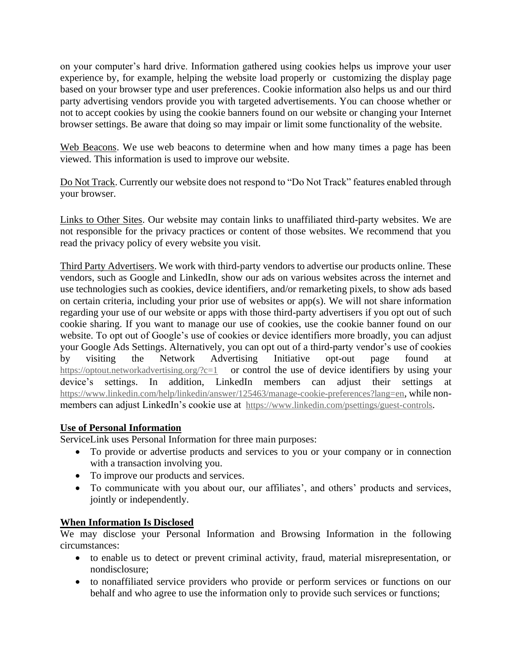on your computer's hard drive. Information gathered using cookies helps us improve your user experience by, for example, helping the website load properly or customizing the display page based on your browser type and user preferences. Cookie information also helps us and our third party advertising vendors provide you with targeted advertisements. You can choose whether or not to accept cookies by using the cookie banners found on our website or changing your Internet browser settings. Be aware that doing so may impair or limit some functionality of the website.

Web Beacons. We use web beacons to determine when and how many times a page has been viewed. This information is used to improve our website.

Do Not Track. Currently our website does not respond to "Do Not Track" features enabled through your browser.

Links to Other Sites. Our website may contain links to unaffiliated third-party websites. We are not responsible for the privacy practices or content of those websites. We recommend that you read the privacy policy of every website you visit.

Third Party Advertisers. We work with third-party vendors to advertise our products online. These vendors, such as Google and LinkedIn, show our ads on various websites across the internet and use technologies such as cookies, device identifiers, and/or remarketing pixels, to show ads based on certain criteria, including your prior use of websites or app(s). We will not share information regarding your use of our website or apps with those third-party advertisers if you opt out of such cookie sharing. If you want to manage our use of cookies, use the cookie banner found on our website. To opt out of Google's use of cookies or device identifiers more broadly, you can [adjust](http://www.google.com/settings/ads)  [your Google Ads Settings.](http://www.google.com/settings/ads) Alternatively, you can opt out of a third-party vendor's use of cookies by visiting the [Network Advertising Initiative opt-out page](http://www.networkadvertising.org/managing/opt_out.asp) found at <https://optout.networkadvertising.org/?c=1>or control the use of device identifiers by using your [device's settings.](https://support.google.com/ads/answer/1660762#mob) In addition, LinkedIn members can adjust their settings at <https://www.linkedin.com/help/linkedin/answer/125463/manage-cookie-preferences?lang=en>, while nonmembers can adjust LinkedIn's cookie use at <https://www.linkedin.com/psettings/guest-controls>.

## **Use of Personal Information**

ServiceLink uses Personal Information for three main purposes:

- To provide or advertise products and services to you or your company or in connection with a transaction involving you.
- To improve our products and services.
- To communicate with you about our, our affiliates', and others' products and services, jointly or independently.

## **When Information Is Disclosed**

We may disclose your Personal Information and Browsing Information in the following circumstances:

- to enable us to detect or prevent criminal activity, fraud, material misrepresentation, or nondisclosure;
- to nonaffiliated service providers who provide or perform services or functions on our behalf and who agree to use the information only to provide such services or functions;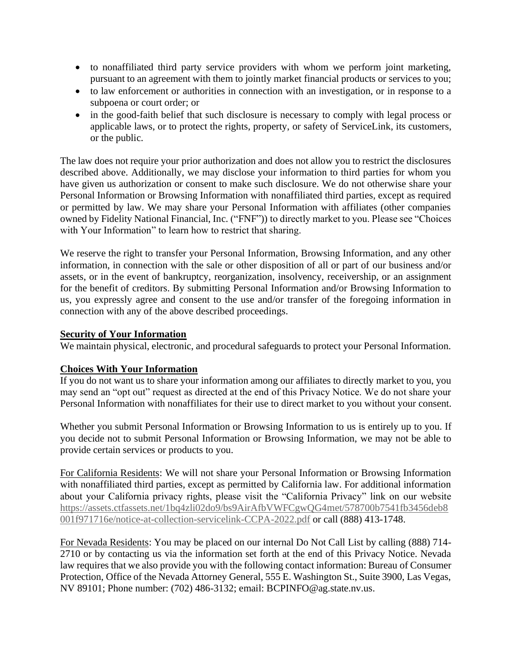- to nonaffiliated third party service providers with whom we perform joint marketing, pursuant to an agreement with them to jointly market financial products or services to you;
- to law enforcement or authorities in connection with an investigation, or in response to a subpoena or court order; or
- in the good-faith belief that such disclosure is necessary to comply with legal process or applicable laws, or to protect the rights, property, or safety of ServiceLink, its customers, or the public.

The law does not require your prior authorization and does not allow you to restrict the disclosures described above. Additionally, we may disclose your information to third parties for whom you have given us authorization or consent to make such disclosure. We do not otherwise share your Personal Information or Browsing Information with nonaffiliated third parties, except as required or permitted by law. We may share your Personal Information with affiliates (other companies owned by Fidelity National Financial, Inc. ("FNF")) to directly market to you. Please see "Choices with Your Information" to learn how to restrict that sharing.

We reserve the right to transfer your Personal Information, Browsing Information, and any other information, in connection with the sale or other disposition of all or part of our business and/or assets, or in the event of bankruptcy, reorganization, insolvency, receivership, or an assignment for the benefit of creditors. By submitting Personal Information and/or Browsing Information to us, you expressly agree and consent to the use and/or transfer of the foregoing information in connection with any of the above described proceedings.

# **Security of Your Information**

We maintain physical, electronic, and procedural safeguards to protect your Personal Information.

# **Choices With Your Information**

If you do not want us to share your information among our affiliates to directly market to you, you may send an "opt out" request as directed at the end of this Privacy Notice. We do not share your Personal Information with nonaffiliates for their use to direct market to you without your consent.

Whether you submit Personal Information or Browsing Information to us is entirely up to you. If you decide not to submit Personal Information or Browsing Information, we may not be able to provide certain services or products to you.

For California Residents: We will not share your Personal Information or Browsing Information with nonaffiliated third parties, except as permitted by California law. For additional information about your California privacy rights, please visit the "California Privacy" link on our website [https://assets.ctfassets.net/1bq4zli02do9/bs9AirAfbVWFCgwQG4met/578700b7541fb3456deb8](https://assets.ctfassets.net/1bq4zli02do9/bs9AirAfbVWFCgwQG4met/578700b7541fb3456deb8001f971716e/notice-at-collection-servicelink-CCPA-2022.pdf) [001f971716e/notice-at-collection-servicelink-CCPA-2022.pdf](https://assets.ctfassets.net/1bq4zli02do9/bs9AirAfbVWFCgwQG4met/578700b7541fb3456deb8001f971716e/notice-at-collection-servicelink-CCPA-2022.pdf) or call (888) 413-1748.

For Nevada Residents: You may be placed on our internal Do Not Call List by calling (888) 714- 2710 or by contacting us via the information set forth at the end of this Privacy Notice. Nevada law requires that we also provide you with the following contact information: Bureau of Consumer Protection, Office of the Nevada Attorney General, 555 E. Washington St., Suite 3900, Las Vegas, NV 89101; Phone number: (702) 486-3132; email: [BCPINFO@ag.state.nv.us.](mailto:BCPINFO@ag.state.nv.us)